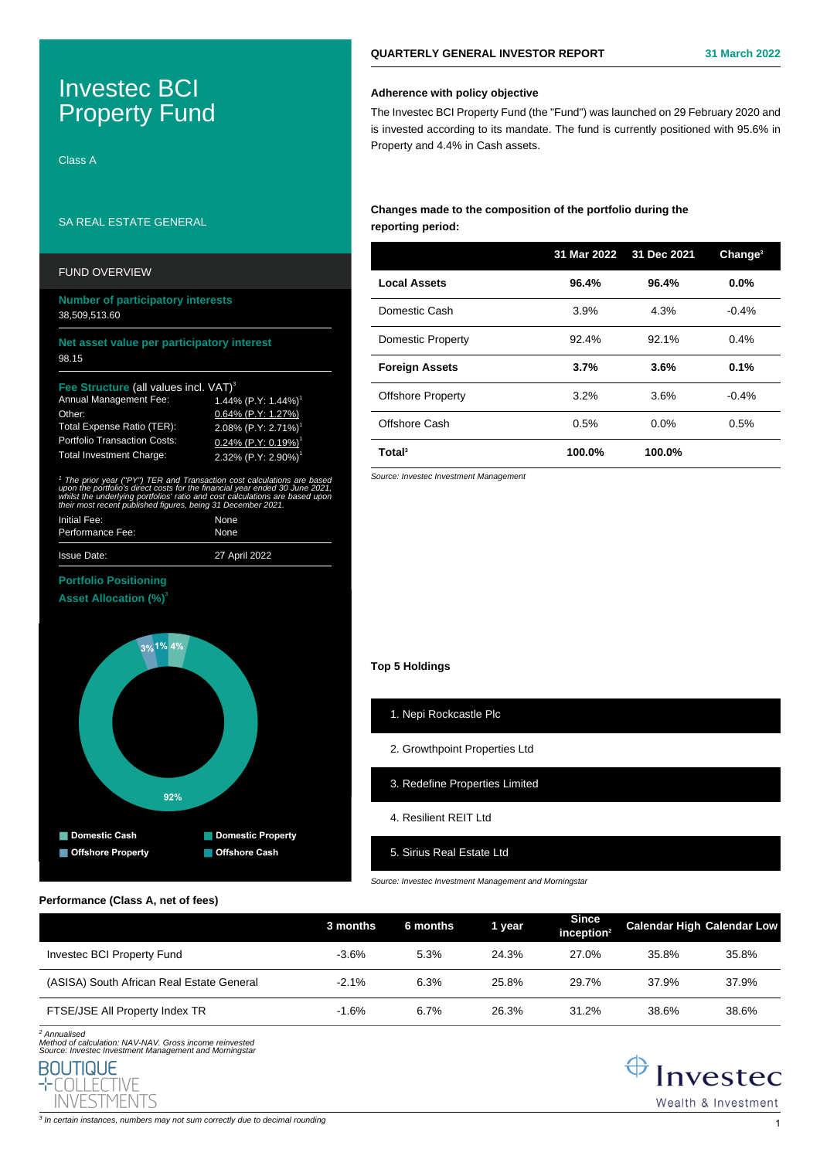# Investec BCI Property Fund

Class A

### SA REAL ESTATE GENERAL

### FUND OVERVIEW

### **Number of participatory interests** 38,509,513.60

### **Net asset value per participatory interest** 98.15

### **Fee Structure** (all values incl. VAT)<sup>3</sup>

| <b>Annual Management Fee:</b>       | $1.44\%$ (P.Y: 1.44%) <sup>1</sup> |
|-------------------------------------|------------------------------------|
| Other:                              | 0.64% (P.Y: 1.27%)                 |
| Total Expense Ratio (TER):          | 2.08% $(P.Y: 2.71%)$               |
| <b>Portfolio Transaction Costs:</b> | $0.24\%$ (P.Y: 0.19%) <sup>1</sup> |
| <b>Total Investment Charge:</b>     | 2.32% $(P.Y: 2.90%)$               |

<sup>1</sup> The prior year ("PY") TER and Transaction cost calculations are based upon the portfolio's direct costs for the financial year ended 30 June 2021, whilst the underlying portfolios' ratio and cost calculations are based upor. their most recent published figures, being 31 December 2021.

| Initial Fee:       | None          |
|--------------------|---------------|
| Performance Fee:   | None          |
| <b>Issue Date:</b> | 27 April 2022 |

### **Portfolio Positioning**

**Asset Allocation (%)<sup>3</sup>**



### **Performance (Class A, net of fees)**

|                                           | 3 months | 6 months | 1 year | Since<br>inception <sup>2</sup> | <b>Calendar High Calendar Low</b> |       |
|-------------------------------------------|----------|----------|--------|---------------------------------|-----------------------------------|-------|
| Investec BCI Property Fund                | $-3.6\%$ | 5.3%     | 24.3%  | 27.0%                           | 35.8%                             | 35.8% |
| (ASISA) South African Real Estate General | $-2.1%$  | 6.3%     | 25.8%  | 29.7%                           | 37.9%                             | 37.9% |
| FTSE/JSE All Property Index TR            | $-1.6%$  | 6.7%     | 26.3%  | 31.2%                           | 38.6%                             | 38.6% |

2 Annualised Method of calculation: NAV-NAV. Gross income reinvested Source: Investec Investment Management and Morningstar



- 
- 4. Resilient RFIT Ltd
- 5. Sirius Real Estate Ltd

Source: Investec Investment Management and Morningstar

**Changes made to the composition of the portfolio during the reporting period: 31 Mar 2022 31 Dec 2021 Change<sup>3</sup> Local Assets 96.4% 96.4% 0.0%** Domestic Cash 3.9% 4.3% -0.4%

| Total <sup>3</sup>       | 100.0% | 100.0%  |         |  |
|--------------------------|--------|---------|---------|--|
| Offshore Cash            | 0.5%   | $0.0\%$ | 0.5%    |  |
| <b>Offshore Property</b> | 3.2%   | 3.6%    | $-0.4%$ |  |
| <b>Foreign Assets</b>    | 3.7%   | 3.6%    | 0.1%    |  |
| <b>Domestic Property</b> | 92.4%  | 92.1%   | $0.4\%$ |  |
|                          |        |         |         |  |

Source: Investec Investment Management

# **Top 5 Holdings**

# 1. Nepi Rockcastle Plc

## 2. Growthpoint Properties Ltd

- 3. Redefine Properties Limited
- 

# **Adherence with policy objective**

The Investec BCI Property Fund (the "Fund") was launched on 29 February 2020 and is invested according to its mandate. The fund is currently positioned with 95.6% in Property and 4.4% in Cash assets.

### **QUARTERLY GENERAL INVESTOR REPORT 31 March 2022**



 $\bigoplus$  Investec Wealth & Investment

 $^3$  In certain instances, numbers may not sum correctly due to decimal rounding  $\,1\,$